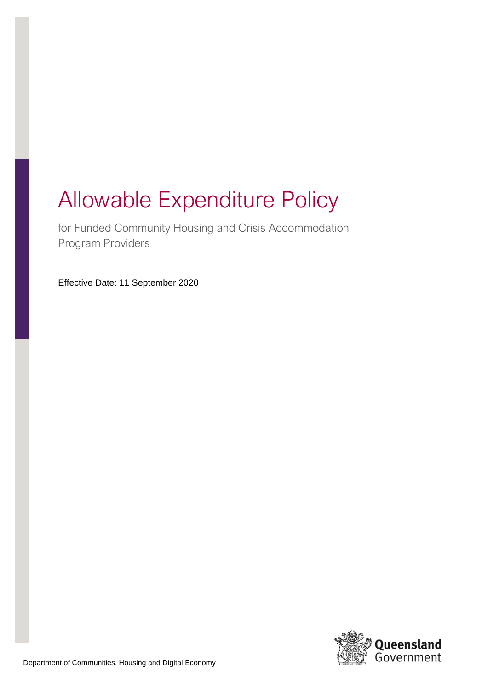# Allowable Expenditure Policy

for Funded Community Housing and Crisis Accommodation Program Providers

Effective Date: 11 September 2020

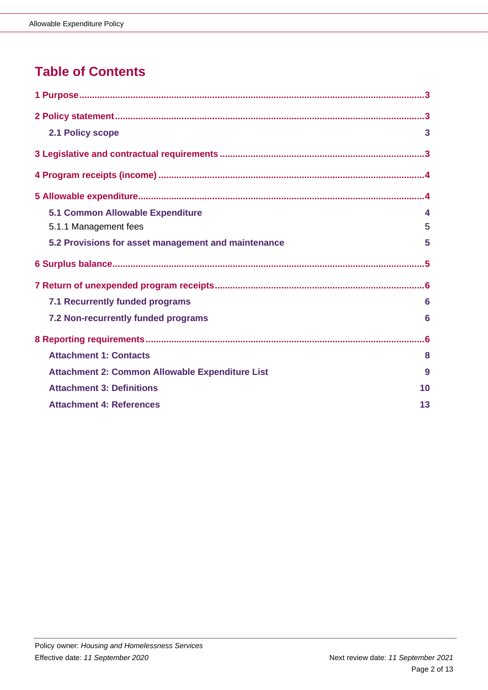# **Table of Contents**

| 2.1 Policy scope                                       | 3                |
|--------------------------------------------------------|------------------|
|                                                        |                  |
|                                                        |                  |
|                                                        |                  |
| <b>5.1 Common Allowable Expenditure</b>                | $\blacktriangle$ |
| 5.1.1 Management fees                                  | 5                |
| 5.2 Provisions for asset management and maintenance    | 5                |
|                                                        |                  |
|                                                        |                  |
|                                                        |                  |
| 7.1 Recurrently funded programs                        | 6                |
| 7.2 Non-recurrently funded programs                    | 6                |
|                                                        |                  |
| <b>Attachment 1: Contacts</b>                          | 8                |
| <b>Attachment 2: Common Allowable Expenditure List</b> | 9                |
| <b>Attachment 3: Definitions</b>                       | 10               |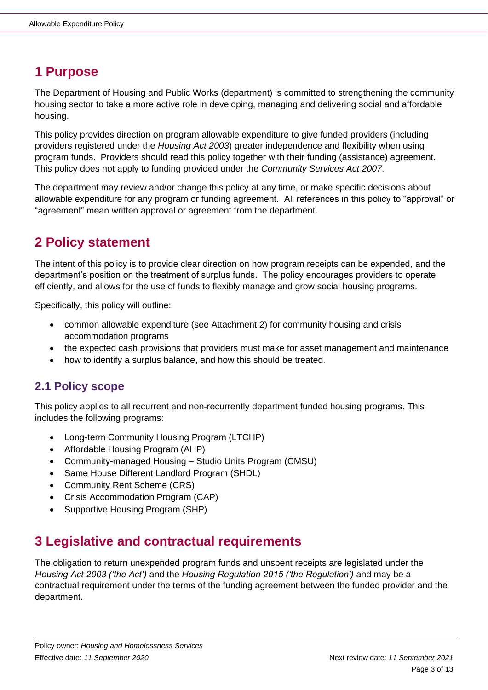# <span id="page-2-0"></span>**1 Purpose**

The Department of Housing and Public Works (department) is committed to strengthening the community housing sector to take a more active role in developing, managing and delivering social and affordable housing.

This policy provides direction on program allowable expenditure to give funded providers (including providers registered under the *Housing Act 2003*) greater independence and flexibility when using program funds. Providers should read this policy together with their funding (assistance) agreement. This policy does not apply to funding provided under the *Community Services Act 2007*.

The department may review and/or change this policy at any time, or make specific decisions about allowable expenditure for any program or funding agreement. All references in this policy to "approval" or "agreement" mean written approval or agreement from the department.

# <span id="page-2-1"></span>**2 Policy statement**

The intent of this policy is to provide clear direction on how program receipts can be expended, and the department's position on the treatment of surplus funds. The policy encourages providers to operate efficiently, and allows for the use of funds to flexibly manage and grow social housing programs.

Specifically, this policy will outline:

- common allowable expenditure (see Attachment 2) for community housing and crisis accommodation programs
- the expected cash provisions that providers must make for asset management and maintenance
- how to identify a surplus balance, and how this should be treated.

#### <span id="page-2-2"></span>**2.1 Policy scope**

This policy applies to all recurrent and non-recurrently department funded housing programs. This includes the following programs:

- Long-term Community Housing Program (LTCHP)
- Affordable Housing Program (AHP)
- Community-managed Housing Studio Units Program (CMSU)
- Same House Different Landlord Program (SHDL)
- Community Rent Scheme (CRS)
- Crisis Accommodation Program (CAP)
- Supportive Housing Program (SHP)

## <span id="page-2-3"></span>**3 Legislative and contractual requirements**

The obligation to return unexpended program funds and unspent receipts are legislated under the *Housing Act 2003 ('the Act')* and the *Housing Regulation 2015 ('the Regulation')* and may be a contractual requirement under the terms of the funding agreement between the funded provider and the department.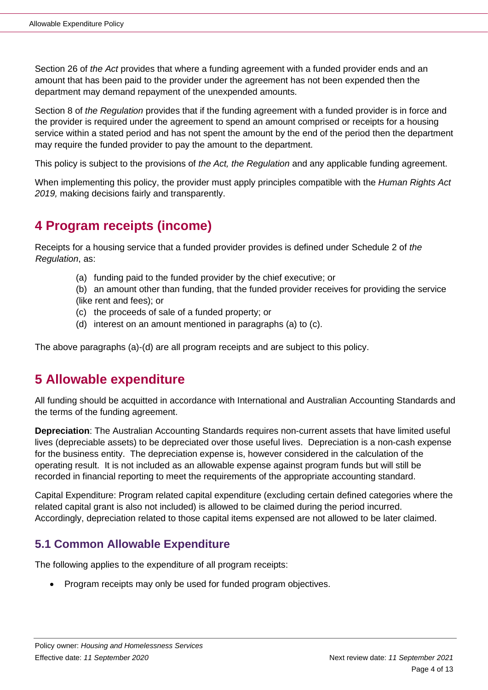Section 26 of *the Act* provides that where a funding agreement with a funded provider ends and an amount that has been paid to the provider under the agreement has not been expended then the department may demand repayment of the unexpended amounts.

Section 8 of *the Regulation* provides that if the funding agreement with a funded provider is in force and the provider is required under the agreement to spend an amount comprised or receipts for a housing service within a stated period and has not spent the amount by the end of the period then the department may require the funded provider to pay the amount to the department.

This policy is subject to the provisions of *the Act, the Regulation* and any applicable funding agreement.

When implementing this policy, the provider must apply principles compatible with the *Human Rights Act 2019,* making decisions fairly and transparently.

## <span id="page-3-0"></span>**4 Program receipts (income)**

Receipts for a housing service that a funded provider provides is defined under Schedule 2 of *the Regulation*, as:

- (a) funding paid to the funded provider by the chief executive; or
- (b) an amount other than funding, that the funded provider receives for providing the service
- (like rent and fees); or
- (c) the proceeds of sale of a funded property; or
- (d) interest on an amount mentioned in paragraphs (a) to (c).

<span id="page-3-1"></span>The above paragraphs (a)-(d) are all program receipts and are subject to this policy.

## **5 Allowable expenditure**

All funding should be acquitted in accordance with International and Australian Accounting Standards and the terms of the funding agreement.

**Depreciation**: The Australian Accounting Standards requires non-current assets that have limited useful lives (depreciable assets) to be depreciated over those useful lives. Depreciation is a non-cash expense for the business entity. The depreciation expense is, however considered in the calculation of the operating result. It is not included as an allowable expense against program funds but will still be recorded in financial reporting to meet the requirements of the appropriate accounting standard.

Capital Expenditure: Program related capital expenditure (excluding certain defined categories where the related capital grant is also not included) is allowed to be claimed during the period incurred. Accordingly, depreciation related to those capital items expensed are not allowed to be later claimed.

#### <span id="page-3-2"></span>**5.1 Common Allowable Expenditure**

The following applies to the expenditure of all program receipts:

• Program receipts may only be used for funded program objectives.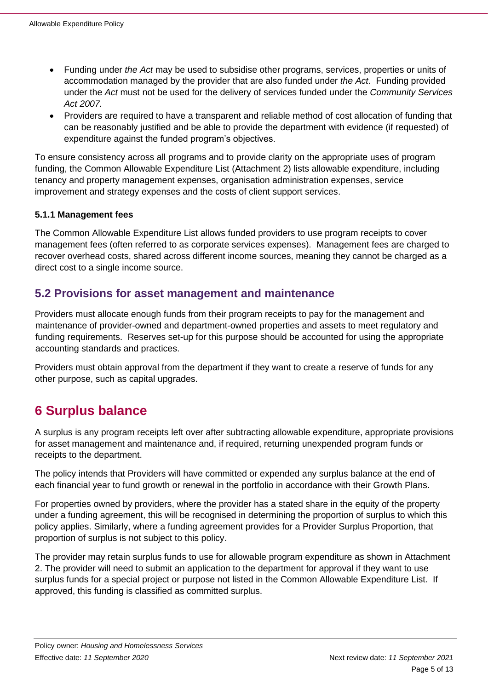- Funding under *the Act* may be used to subsidise other programs, services, properties or units of accommodation managed by the provider that are also funded under *the Act*. Funding provided under the *Act* must not be used for the delivery of services funded under the *Community Services Act 2007.*
- Providers are required to have a transparent and reliable method of cost allocation of funding that can be reasonably justified and be able to provide the department with evidence (if requested) of expenditure against the funded program's objectives.

To ensure consistency across all programs and to provide clarity on the appropriate uses of program funding, the Common Allowable Expenditure List (Attachment 2) lists allowable expenditure, including tenancy and property management expenses, organisation administration expenses, service improvement and strategy expenses and the costs of client support services.

#### <span id="page-4-0"></span>**5.1.1 Management fees**

The Common Allowable Expenditure List allows funded providers to use program receipts to cover management fees (often referred to as corporate services expenses). Management fees are charged to recover overhead costs, shared across different income sources, meaning they cannot be charged as a direct cost to a single income source.

#### <span id="page-4-1"></span>**5.2 Provisions for asset management and maintenance**

Providers must allocate enough funds from their program receipts to pay for the management and maintenance of provider-owned and department-owned properties and assets to meet regulatory and funding requirements. Reserves set-up for this purpose should be accounted for using the appropriate accounting standards and practices.

Providers must obtain approval from the department if they want to create a reserve of funds for any other purpose, such as capital upgrades.

## <span id="page-4-2"></span>**6 Surplus balance**

A surplus is any program receipts left over after subtracting allowable expenditure, appropriate provisions for asset management and maintenance and, if required, returning unexpended program funds or receipts to the department.

The policy intends that Providers will have committed or expended any surplus balance at the end of each financial year to fund growth or renewal in the portfolio in accordance with their Growth Plans.

For properties owned by providers, where the provider has a stated share in the equity of the property under a funding agreement, this will be recognised in determining the proportion of surplus to which this policy applies. Similarly, where a funding agreement provides for a Provider Surplus Proportion, that proportion of surplus is not subject to this policy.

The provider may retain surplus funds to use for allowable program expenditure as shown in Attachment 2. The provider will need to submit an application to the department for approval if they want to use surplus funds for a special project or purpose not listed in the Common Allowable Expenditure List. If approved, this funding is classified as committed surplus.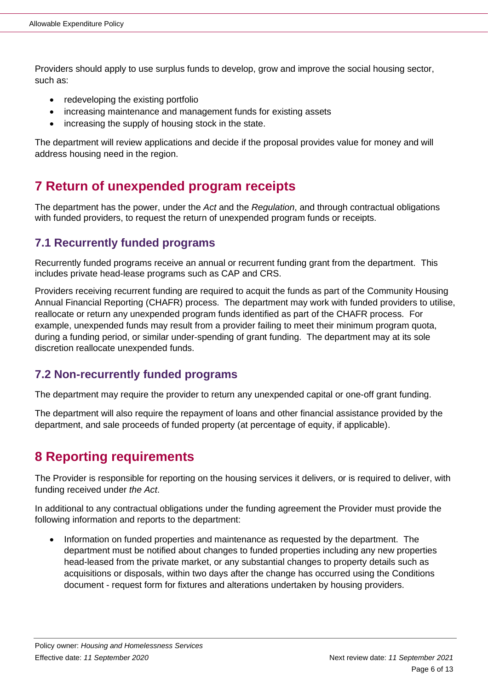Providers should apply to use surplus funds to develop, grow and improve the social housing sector, such as:

- redeveloping the existing portfolio
- increasing maintenance and management funds for existing assets
- increasing the supply of housing stock in the state.

The department will review applications and decide if the proposal provides value for money and will address housing need in the region.

## <span id="page-5-0"></span>**7 Return of unexpended program receipts**

The department has the power, under the *Act* and the *Regulation*, and through contractual obligations with funded providers, to request the return of unexpended program funds or receipts.

#### <span id="page-5-1"></span>**7.1 Recurrently funded programs**

Recurrently funded programs receive an annual or recurrent funding grant from the department. This includes private head-lease programs such as CAP and CRS.

Providers receiving recurrent funding are required to acquit the funds as part of the Community Housing Annual Financial Reporting (CHAFR) process. The department may work with funded providers to utilise, reallocate or return any unexpended program funds identified as part of the CHAFR process. For example, unexpended funds may result from a provider failing to meet their minimum program quota, during a funding period, or similar under-spending of grant funding. The department may at its sole discretion reallocate unexpended funds.

#### <span id="page-5-2"></span>**7.2 Non-recurrently funded programs**

The department may require the provider to return any unexpended capital or one-off grant funding.

The department will also require the repayment of loans and other financial assistance provided by the department, and sale proceeds of funded property (at percentage of equity, if applicable).

## <span id="page-5-3"></span>**8 Reporting requirements**

The Provider is responsible for reporting on the housing services it delivers, or is required to deliver, with funding received under *the Act*.

In additional to any contractual obligations under the funding agreement the Provider must provide the following information and reports to the department:

• Information on funded properties and maintenance as requested by the department. The department must be notified about changes to funded properties including any new properties head-leased from the private market, or any substantial changes to property details such as acquisitions or disposals, within two days after the change has occurred using the Conditions document - [request form](https://www.business.qld.gov.au/industries/service-industries-professionals/housing-accommodation/community/managing-properties) for fixtures and alterations undertaken by housing providers.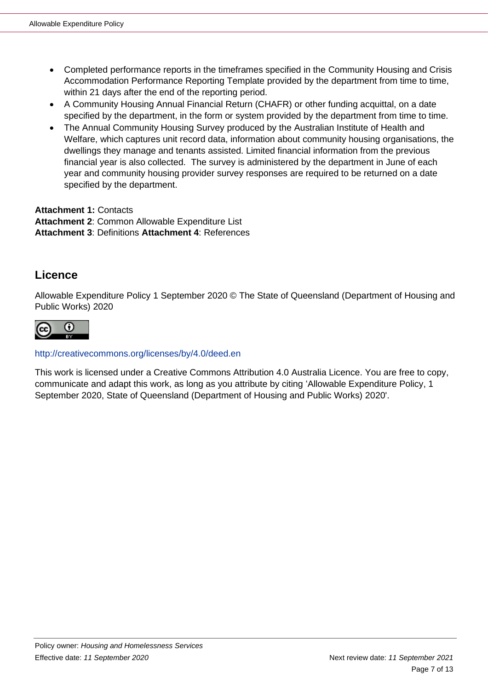- Completed performance reports in the timeframes specified in the [Community Housing and Crisis](https://www.hpw.qld.gov.au/__data/assets/excel_doc/0016/5470/communityandcrisisaccommodationreporting.xlsx)  [Accommodation Performance Reporting Template](https://www.hpw.qld.gov.au/__data/assets/excel_doc/0016/5470/communityandcrisisaccommodationreporting.xlsx) provided by the department from time to time, within 21 days after the end of the reporting period.
- A Community Housing Annual Financial Return (CHAFR) or other funding acquittal, on a date specified by the department, in the form or system provided by the department from time to time.
- The Annual Community Housing Survey produced by the Australian Institute of Health and Welfare, which captures unit record data, information about community housing organisations, the dwellings they manage and tenants assisted. Limited financial information from the previous financial year is also collected. The survey is administered by the department in June of each year and community housing provider survey responses are required to be returned on a date specified by the department.

**Attachment 1:** Contacts **Attachment 2**: Common Allowable Expenditure List **Attachment 3**: Definitions **Attachment 4**: References

#### **Licence**

Allowable Expenditure Policy 1 September 2020 © The State of Queensland (Department of Housing and Public Works) 2020



#### http://creativecommons.org/licenses/by/4.0/deed.en

This work is licensed under a Creative Commons Attribution 4.0 Australia Licence. You are free to copy, communicate and adapt this work, as long as you attribute by citing 'Allowable Expenditure Policy, 1 September 2020, State of Queensland (Department of Housing and Public Works) 2020'.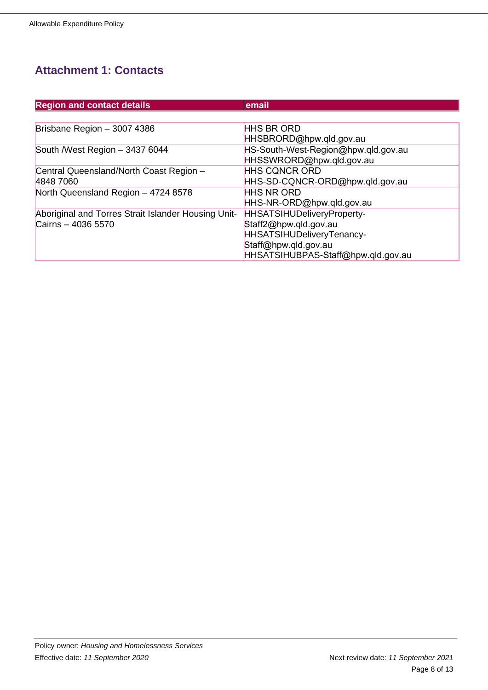## <span id="page-7-0"></span>**Attachment 1: Contacts**

| <b>Region and contact details</b>                   | email                               |
|-----------------------------------------------------|-------------------------------------|
|                                                     |                                     |
| Brisbane Region - 3007 4386                         | <b>HHS BR ORD</b>                   |
|                                                     | HHSBRORD@hpw.qld.gov.au             |
| South /West Region - 3437 6044                      | HS-South-West-Region@hpw.qld.gov.au |
|                                                     | HHSSWRORD@hpw.qld.gov.au            |
| Central Queensland/North Coast Region -             | <b>HHS CQNCR ORD</b>                |
| 4848 7060                                           | HHS-SD-CQNCR-ORD@hpw.qld.gov.au     |
| North Queensland Region - 4724 8578                 | <b>HHS NR ORD</b>                   |
|                                                     | HHS-NR-ORD@hpw.qld.gov.au           |
| Aboriginal and Torres Strait Islander Housing Unit- | HHSATSIHUDeliveryProperty-          |
| Cairns - 4036 5570                                  | Staff2@hpw.qld.gov.au               |
|                                                     | HHSATSIHUDeliveryTenancy-           |
|                                                     | Staff@hpw.qld.gov.au                |
|                                                     | HHSATSIHUBPAS-Staff@hpw.qld.gov.au  |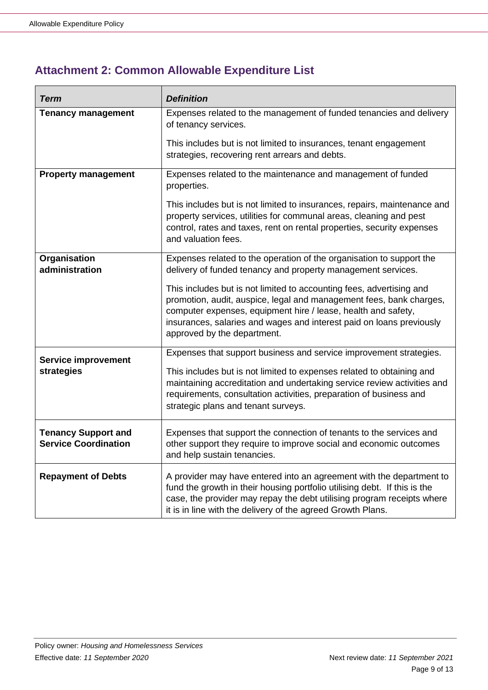## <span id="page-8-0"></span>**Attachment 2: Common Allowable Expenditure List**

| Term                                                      | <b>Definition</b>                                                                                                                                                                                                                                                                                                                                                                                                                                           |
|-----------------------------------------------------------|-------------------------------------------------------------------------------------------------------------------------------------------------------------------------------------------------------------------------------------------------------------------------------------------------------------------------------------------------------------------------------------------------------------------------------------------------------------|
| <b>Tenancy management</b>                                 | Expenses related to the management of funded tenancies and delivery<br>of tenancy services.<br>This includes but is not limited to insurances, tenant engagement<br>strategies, recovering rent arrears and debts.                                                                                                                                                                                                                                          |
| <b>Property management</b>                                | Expenses related to the maintenance and management of funded<br>properties.<br>This includes but is not limited to insurances, repairs, maintenance and<br>property services, utilities for communal areas, cleaning and pest<br>control, rates and taxes, rent on rental properties, security expenses                                                                                                                                                     |
|                                                           | and valuation fees.                                                                                                                                                                                                                                                                                                                                                                                                                                         |
| Organisation<br>administration                            | Expenses related to the operation of the organisation to support the<br>delivery of funded tenancy and property management services.<br>This includes but is not limited to accounting fees, advertising and<br>promotion, audit, auspice, legal and management fees, bank charges,<br>computer expenses, equipment hire / lease, health and safety,<br>insurances, salaries and wages and interest paid on loans previously<br>approved by the department. |
| <b>Service improvement</b><br>strategies                  | Expenses that support business and service improvement strategies.<br>This includes but is not limited to expenses related to obtaining and<br>maintaining accreditation and undertaking service review activities and<br>requirements, consultation activities, preparation of business and<br>strategic plans and tenant surveys.                                                                                                                         |
| <b>Tenancy Support and</b><br><b>Service Coordination</b> | Expenses that support the connection of tenants to the services and<br>other support they require to improve social and economic outcomes<br>and help sustain tenancies.                                                                                                                                                                                                                                                                                    |
| <b>Repayment of Debts</b>                                 | A provider may have entered into an agreement with the department to<br>fund the growth in their housing portfolio utilising debt. If this is the<br>case, the provider may repay the debt utilising program receipts where<br>it is in line with the delivery of the agreed Growth Plans.                                                                                                                                                                  |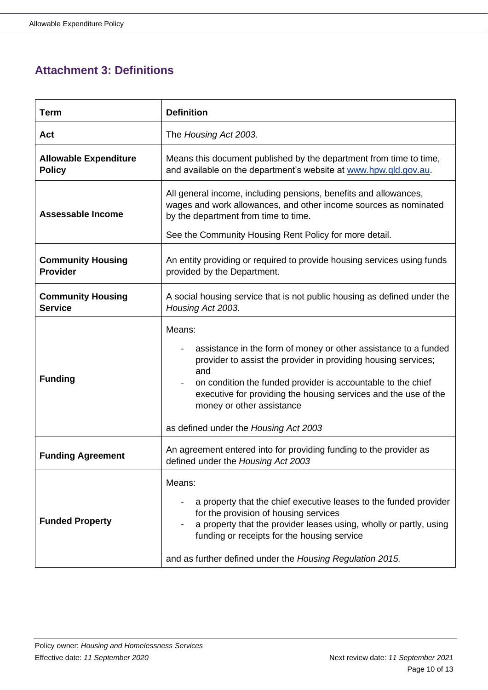## <span id="page-9-0"></span>**Attachment 3: Definitions**

| <b>Term</b>                                   | <b>Definition</b>                                                                                                                                                                                                                                                                                                                                           |
|-----------------------------------------------|-------------------------------------------------------------------------------------------------------------------------------------------------------------------------------------------------------------------------------------------------------------------------------------------------------------------------------------------------------------|
| Act                                           | The Housing Act 2003.                                                                                                                                                                                                                                                                                                                                       |
| <b>Allowable Expenditure</b><br><b>Policy</b> | Means this document published by the department from time to time,<br>and available on the department's website at www.hpw.qld.gov.au.                                                                                                                                                                                                                      |
| Assessable Income                             | All general income, including pensions, benefits and allowances,<br>wages and work allowances, and other income sources as nominated<br>by the department from time to time.                                                                                                                                                                                |
|                                               | See the Community Housing Rent Policy for more detail.                                                                                                                                                                                                                                                                                                      |
| <b>Community Housing</b><br><b>Provider</b>   | An entity providing or required to provide housing services using funds<br>provided by the Department.                                                                                                                                                                                                                                                      |
| <b>Community Housing</b><br><b>Service</b>    | A social housing service that is not public housing as defined under the<br>Housing Act 2003.                                                                                                                                                                                                                                                               |
| <b>Funding</b>                                | Means:<br>assistance in the form of money or other assistance to a funded<br>provider to assist the provider in providing housing services;<br>and<br>on condition the funded provider is accountable to the chief<br>executive for providing the housing services and the use of the<br>money or other assistance<br>as defined under the Housing Act 2003 |
| <b>Funding Agreement</b>                      | An agreement entered into for providing funding to the provider as<br>defined under the Housing Act 2003                                                                                                                                                                                                                                                    |
| <b>Funded Property</b>                        | Means:<br>a property that the chief executive leases to the funded provider<br>for the provision of housing services<br>a property that the provider leases using, wholly or partly, using<br>funding or receipts for the housing service<br>and as further defined under the Housing Regulation 2015.                                                      |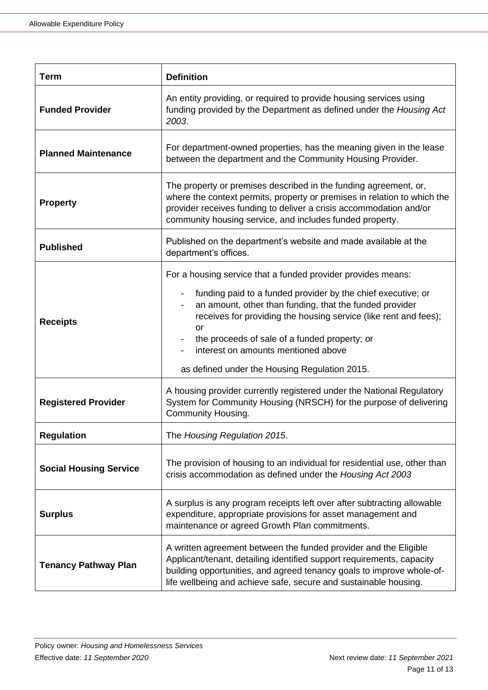| <b>Term</b>                   | <b>Definition</b>                                                                                                                                                                                                                                                                                                                                                                                                 |
|-------------------------------|-------------------------------------------------------------------------------------------------------------------------------------------------------------------------------------------------------------------------------------------------------------------------------------------------------------------------------------------------------------------------------------------------------------------|
| <b>Funded Provider</b>        | An entity providing, or required to provide housing services using<br>funding provided by the Department as defined under the Housing Act<br>2003.                                                                                                                                                                                                                                                                |
| <b>Planned Maintenance</b>    | For department-owned properties, has the meaning given in the lease<br>between the department and the Community Housing Provider.                                                                                                                                                                                                                                                                                 |
| <b>Property</b>               | The property or premises described in the funding agreement, or,<br>where the context permits, property or premises in relation to which the<br>provider receives funding to deliver a crisis accommodation and/or<br>community housing service, and includes funded property.                                                                                                                                    |
| <b>Published</b>              | Published on the department's website and made available at the<br>department's offices.                                                                                                                                                                                                                                                                                                                          |
| <b>Receipts</b>               | For a housing service that a funded provider provides means:<br>funding paid to a funded provider by the chief executive; or<br>an amount, other than funding, that the funded provider<br>receives for providing the housing service (like rent and fees);<br><b>or</b><br>the proceeds of sale of a funded property; or<br>interest on amounts mentioned above<br>as defined under the Housing Regulation 2015. |
| <b>Registered Provider</b>    | A housing provider currently registered under the National Regulatory<br>System for Community Housing (NRSCH) for the purpose of delivering<br>Community Housing.                                                                                                                                                                                                                                                 |
| <b>Regulation</b>             | The Housing Regulation 2015.                                                                                                                                                                                                                                                                                                                                                                                      |
| <b>Social Housing Service</b> | The provision of housing to an individual for residential use, other than<br>crisis accommodation as defined under the Housing Act 2003                                                                                                                                                                                                                                                                           |
| <b>Surplus</b>                | A surplus is any program receipts left over after subtracting allowable<br>expenditure, appropriate provisions for asset management and<br>maintenance or agreed Growth Plan commitments.                                                                                                                                                                                                                         |
| <b>Tenancy Pathway Plan</b>   | A written agreement between the funded provider and the Eligible<br>Applicant/tenant, detailing identified support requirements, capacity<br>building opportunities, and agreed tenancy goals to improve whole-of-<br>life wellbeing and achieve safe, secure and sustainable housing.                                                                                                                            |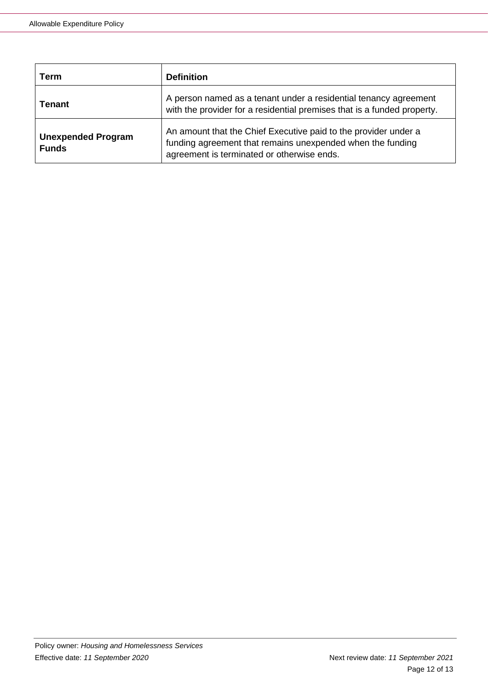| Term                                      | <b>Definition</b>                                                                                                                                                           |
|-------------------------------------------|-----------------------------------------------------------------------------------------------------------------------------------------------------------------------------|
| <b>Tenant</b>                             | A person named as a tenant under a residential tenancy agreement<br>with the provider for a residential premises that is a funded property.                                 |
| <b>Unexpended Program</b><br><b>Funds</b> | An amount that the Chief Executive paid to the provider under a<br>funding agreement that remains unexpended when the funding<br>agreement is terminated or otherwise ends. |